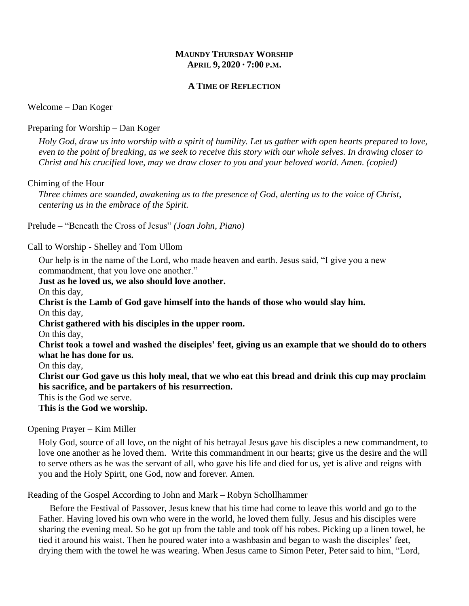## **MAUNDY THURSDAY WORSHIP APRIL 9, 2020 7:00 P.M.**

## **A TIME OF REFLECTION**

Welcome – Dan Koger

## Preparing for Worship – Dan Koger

*Holy God, draw us into worship with a spirit of humility. Let us gather with open hearts prepared to love, even to the point of breaking, as we seek to receive this story with our whole selves. In drawing closer to Christ and his crucified love, may we draw closer to you and your beloved world. Amen. (copied)*

## Chiming of the Hour

*Three chimes are sounded, awakening us to the presence of God, alerting us to the voice of Christ, centering us in the embrace of the Spirit.*

Prelude – "Beneath the Cross of Jesus" *(Joan John, Piano)*

Call to Worship - Shelley and Tom Ullom

Our help is in the name of the Lord, who made heaven and earth. Jesus said, "I give you a new commandment, that you love one another."

**Just as he loved us, we also should love another.**

On this day,

**Christ is the Lamb of God gave himself into the hands of those who would slay him.** On this day,

**Christ gathered with his disciples in the upper room.**

On this day,

**Christ took a towel and washed the disciples' feet, giving us an example that we should do to others what he has done for us.**

On this day,

**Christ our God gave us this holy meal, that we who eat this bread and drink this cup may proclaim his sacrifice, and be partakers of his resurrection.**

This is the God we serve.

**This is the God we worship.**

## Opening Prayer – Kim Miller

Holy God, source of all love, on the night of his betrayal Jesus gave his disciples a new commandment, to love one another as he loved them. Write this commandment in our hearts; give us the desire and the will to serve others as he was the servant of all, who gave his life and died for us, yet is alive and reigns with you and the Holy Spirit, one God, now and forever. Amen.

Reading of the Gospel According to John and Mark – Robyn Schollhammer

Before the Festival of Passover, Jesus knew that his time had come to leave this world and go to the Father. Having loved his own who were in the world, he loved them fully. Jesus and his disciples were sharing the evening meal. So he got up from the table and took off his robes. Picking up a linen towel, he tied it around his waist. Then he poured water into a washbasin and began to wash the disciples' feet, drying them with the towel he was wearing. When Jesus came to Simon Peter, Peter said to him, "Lord,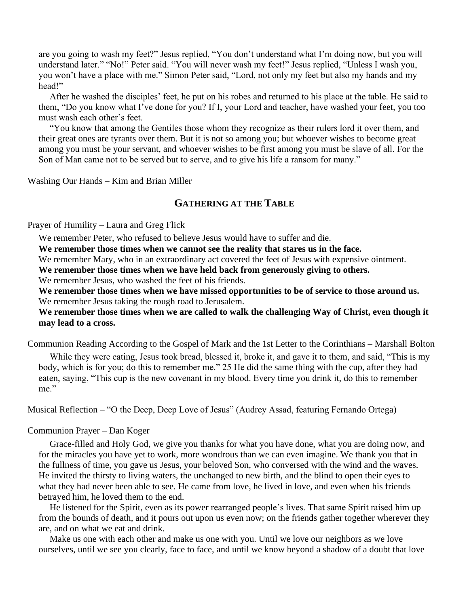are you going to wash my feet?" Jesus replied, "You don't understand what I'm doing now, but you will understand later." "No!" Peter said. "You will never wash my feet!" Jesus replied, "Unless I wash you, you won't have a place with me." Simon Peter said, "Lord, not only my feet but also my hands and my head!"

After he washed the disciples' feet, he put on his robes and returned to his place at the table. He said to them, "Do you know what I've done for you? If I, your Lord and teacher, have washed your feet, you too must wash each other's feet.

"You know that among the Gentiles those whom they recognize as their rulers lord it over them, and their great ones are tyrants over them. But it is not so among you; but whoever wishes to become great among you must be your servant, and whoever wishes to be first among you must be slave of all. For the Son of Man came not to be served but to serve, and to give his life a ransom for many."

Washing Our Hands – Kim and Brian Miller

# **GATHERING AT THE TABLE**

Prayer of Humility – Laura and Greg Flick

We remember Peter, who refused to believe Jesus would have to suffer and die.

**We remember those times when we cannot see the reality that stares us in the face.**

We remember Mary, who in an extraordinary act covered the feet of Jesus with expensive ointment.

**We remember those times when we have held back from generously giving to others.**

We remember Jesus, who washed the feet of his friends.

**We remember those times when we have missed opportunities to be of service to those around us.**  We remember Jesus taking the rough road to Jerusalem.

We remember those times when we are called to walk the challenging Way of Christ, even though it **may lead to a cross.**

Communion Reading According to the Gospel of Mark and the 1st Letter to the Corinthians – Marshall Bolton

While they were eating, Jesus took bread, blessed it, broke it, and gave it to them, and said, "This is my body, which is for you; do this to remember me." 25 He did the same thing with the cup, after they had eaten, saying, "This cup is the new covenant in my blood. Every time you drink it, do this to remember me."

Musical Reflection – "O the Deep, Deep Love of Jesus" (Audrey Assad, featuring Fernando Ortega)

#### Communion Prayer – Dan Koger

Grace-filled and Holy God, we give you thanks for what you have done, what you are doing now, and for the miracles you have yet to work, more wondrous than we can even imagine. We thank you that in the fullness of time, you gave us Jesus, your beloved Son, who conversed with the wind and the waves. He invited the thirsty to living waters, the unchanged to new birth, and the blind to open their eyes to what they had never been able to see. He came from love, he lived in love, and even when his friends betrayed him, he loved them to the end.

He listened for the Spirit, even as its power rearranged people's lives. That same Spirit raised him up from the bounds of death, and it pours out upon us even now; on the friends gather together wherever they are, and on what we eat and drink.

Make us one with each other and make us one with you. Until we love our neighbors as we love ourselves, until we see you clearly, face to face, and until we know beyond a shadow of a doubt that love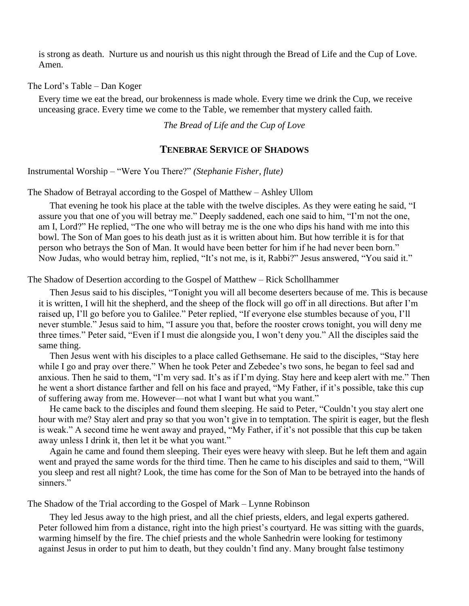is strong as death. Nurture us and nourish us this night through the Bread of Life and the Cup of Love. Amen.

## The Lord's Table – Dan Koger

Every time we eat the bread, our brokenness is made whole. Every time we drink the Cup, we receive unceasing grace. Every time we come to the Table, we remember that mystery called faith.

# *The Bread of Life and the Cup of Love*

# **TENEBRAE SERVICE OF SHADOWS**

Instrumental Worship – "Were You There?" *(Stephanie Fisher, flute)*

The Shadow of Betrayal according to the Gospel of Matthew – Ashley Ullom

That evening he took his place at the table with the twelve disciples. As they were eating he said, "I assure you that one of you will betray me." Deeply saddened, each one said to him, "I'm not the one, am I, Lord?" He replied, "The one who will betray me is the one who dips his hand with me into this bowl. The Son of Man goes to his death just as it is written about him. But how terrible it is for that person who betrays the Son of Man. It would have been better for him if he had never been born." Now Judas, who would betray him, replied, "It's not me, is it, Rabbi?" Jesus answered, "You said it."

The Shadow of Desertion according to the Gospel of Matthew – Rick Schollhammer

Then Jesus said to his disciples, "Tonight you will all become deserters because of me. This is because it is written, I will hit the shepherd, and the sheep of the flock will go off in all directions. But after I'm raised up, I'll go before you to Galilee." Peter replied, "If everyone else stumbles because of you, I'll never stumble." Jesus said to him, "I assure you that, before the rooster crows tonight, you will deny me three times." Peter said, "Even if I must die alongside you, I won't deny you." All the disciples said the same thing.

Then Jesus went with his disciples to a place called Gethsemane. He said to the disciples, "Stay here while I go and pray over there." When he took Peter and Zebedee's two sons, he began to feel sad and anxious. Then he said to them, "I'm very sad. It's as if I'm dying. Stay here and keep alert with me." Then he went a short distance farther and fell on his face and prayed, "My Father, if it's possible, take this cup of suffering away from me. However—not what I want but what you want."

He came back to the disciples and found them sleeping. He said to Peter, "Couldn't you stay alert one hour with me? Stay alert and pray so that you won't give in to temptation. The spirit is eager, but the flesh is weak." A second time he went away and prayed, "My Father, if it's not possible that this cup be taken away unless I drink it, then let it be what you want."

Again he came and found them sleeping. Their eyes were heavy with sleep. But he left them and again went and prayed the same words for the third time. Then he came to his disciples and said to them, "Will you sleep and rest all night? Look, the time has come for the Son of Man to be betrayed into the hands of sinners."

The Shadow of the Trial according to the Gospel of Mark – Lynne Robinson

They led Jesus away to the high priest, and all the chief priests, elders, and legal experts gathered. Peter followed him from a distance, right into the high priest's courtyard. He was sitting with the guards, warming himself by the fire. The chief priests and the whole Sanhedrin were looking for testimony against Jesus in order to put him to death, but they couldn't find any. Many brought false testimony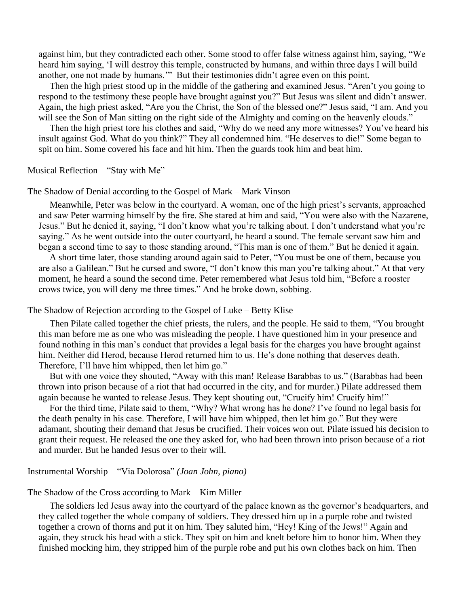against him, but they contradicted each other. Some stood to offer false witness against him, saying, "We heard him saying, 'I will destroy this temple, constructed by humans, and within three days I will build another, one not made by humans.'" But their testimonies didn't agree even on this point.

Then the high priest stood up in the middle of the gathering and examined Jesus. "Aren't you going to respond to the testimony these people have brought against you?" But Jesus was silent and didn't answer. Again, the high priest asked, "Are you the Christ, the Son of the blessed one?" Jesus said, "I am. And you will see the Son of Man sitting on the right side of the Almighty and coming on the heavenly clouds."

Then the high priest tore his clothes and said, "Why do we need any more witnesses? You've heard his insult against God. What do you think?" They all condemned him. "He deserves to die!" Some began to spit on him. Some covered his face and hit him. Then the guards took him and beat him.

Musical Reflection – "Stay with Me"

#### The Shadow of Denial according to the Gospel of Mark – Mark Vinson

Meanwhile, Peter was below in the courtyard. A woman, one of the high priest's servants, approached and saw Peter warming himself by the fire. She stared at him and said, "You were also with the Nazarene, Jesus." But he denied it, saying, "I don't know what you're talking about. I don't understand what you're saying." As he went outside into the outer courtyard, he heard a sound. The female servant saw him and began a second time to say to those standing around, "This man is one of them." But he denied it again.

A short time later, those standing around again said to Peter, "You must be one of them, because you are also a Galilean." But he cursed and swore, "I don't know this man you're talking about." At that very moment, he heard a sound the second time. Peter remembered what Jesus told him, "Before a rooster crows twice, you will deny me three times." And he broke down, sobbing.

#### The Shadow of Rejection according to the Gospel of Luke – Betty Klise

Then Pilate called together the chief priests, the rulers, and the people. He said to them, "You brought this man before me as one who was misleading the people. I have questioned him in your presence and found nothing in this man's conduct that provides a legal basis for the charges you have brought against him. Neither did Herod, because Herod returned him to us. He's done nothing that deserves death. Therefore, I'll have him whipped, then let him go."

But with one voice they shouted, "Away with this man! Release Barabbas to us." (Barabbas had been thrown into prison because of a riot that had occurred in the city, and for murder.) Pilate addressed them again because he wanted to release Jesus. They kept shouting out, "Crucify him! Crucify him!"

For the third time, Pilate said to them, "Why? What wrong has he done? I've found no legal basis for the death penalty in his case. Therefore, I will have him whipped, then let him go." But they were adamant, shouting their demand that Jesus be crucified. Their voices won out. Pilate issued his decision to grant their request. He released the one they asked for, who had been thrown into prison because of a riot and murder. But he handed Jesus over to their will.

Instrumental Worship – "Via Dolorosa" *(Joan John, piano)*

#### The Shadow of the Cross according to Mark – Kim Miller

The soldiers led Jesus away into the courtyard of the palace known as the governor's headquarters, and they called together the whole company of soldiers. They dressed him up in a purple robe and twisted together a crown of thorns and put it on him. They saluted him, "Hey! King of the Jews!" Again and again, they struck his head with a stick. They spit on him and knelt before him to honor him. When they finished mocking him, they stripped him of the purple robe and put his own clothes back on him. Then